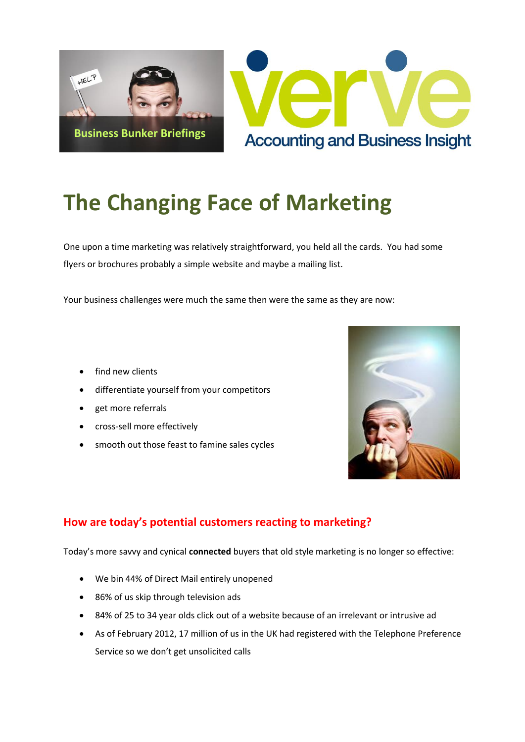

# **The Changing Face of Marketing**

One upon a time marketing was relatively straightforward, you held all the cards. You had some flyers or brochures probably a simple website and maybe a mailing list.

Your business challenges were much the same then were the same as they are now:

- find new clients
- differentiate yourself from your competitors
- get more referrals
- cross-sell more effectively
- smooth out those feast to famine sales cycles



## **How are today's potential customers reacting to marketing?**

Today's more savvy and cynical **connected** buyers that old style marketing is no longer so effective:

- We bin 44% of Direct Mail entirely unopened
- 86% of us skip through television ads
- 84% of 25 to 34 year olds click out of a website because of an irrelevant or intrusive ad
- As of February 2012, 17 million of us in the UK had registered with the Telephone Preference Service so we don't get unsolicited calls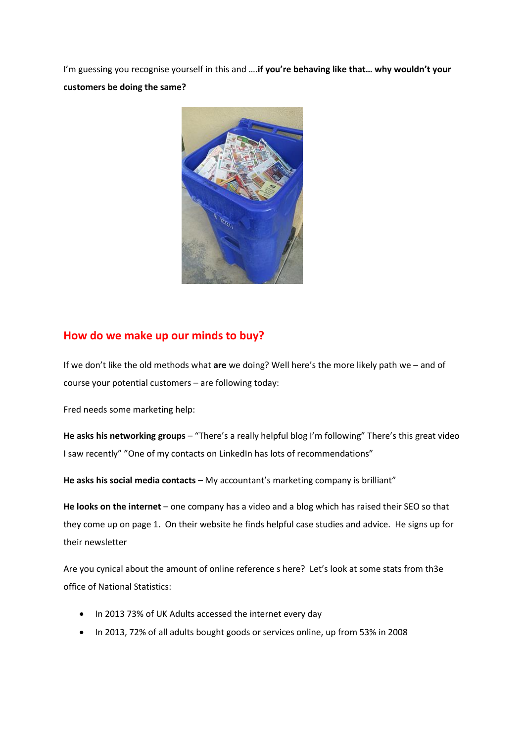I'm guessing you recognise yourself in this and ….**if you're behaving like that… why wouldn't your customers be doing the same?**



#### **How do we make up our minds to buy?**

If we don't like the old methods what **are** we doing? Well here's the more likely path we – and of course your potential customers – are following today:

Fred needs some marketing help:

**He asks his networking groups** – "There's a really helpful blog I'm following" There's this great video I saw recently" "One of my contacts on LinkedIn has lots of recommendations"

**He asks his social media contacts** – My accountant's marketing company is brilliant"

**He looks on the internet** – one company has a video and a blog which has raised their SEO so that they come up on page 1. On their website he finds helpful case studies and advice. He signs up for their newsletter

Are you cynical about the amount of online reference s here? Let's look at some stats from th3e office of National Statistics:

- In 2013 73% of UK Adults accessed the internet every day
- In 2013, 72% of all adults bought goods or services online, up from 53% in 2008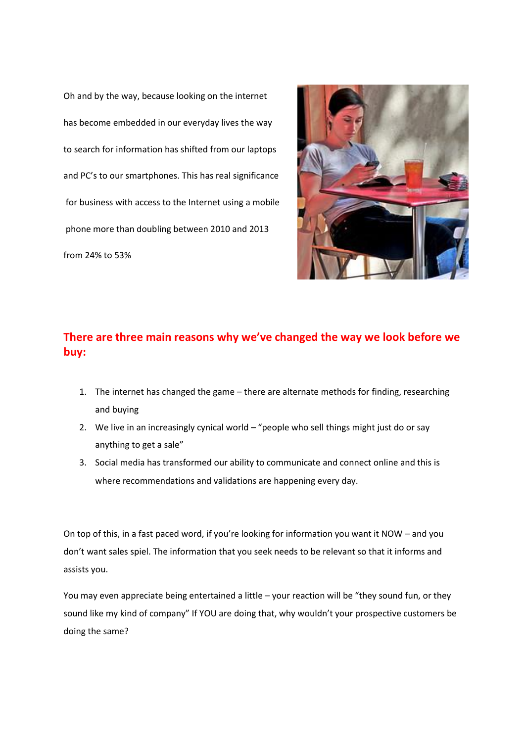Oh and by the way, because looking on the internet has become embedded in our everyday lives the way to search for information has shifted from our laptops and PC's to our smartphones. This has real significance for business with access to the Internet using a mobile phone more than doubling between 2010 and 2013 from 24% to 53%



## **There are three main reasons why we've changed the way we look before we buy:**

- 1. The internet has changed the game there are alternate methods for finding, researching and buying
- 2. We live in an increasingly cynical world "people who sell things might just do or say anything to get a sale"
- 3. Social media has transformed our ability to communicate and connect online and this is where recommendations and validations are happening every day.

On top of this, in a fast paced word, if you're looking for information you want it NOW – and you don't want sales spiel. The information that you seek needs to be relevant so that it informs and assists you.

You may even appreciate being entertained a little – your reaction will be "they sound fun, or they sound like my kind of company" If YOU are doing that, why wouldn't your prospective customers be doing the same?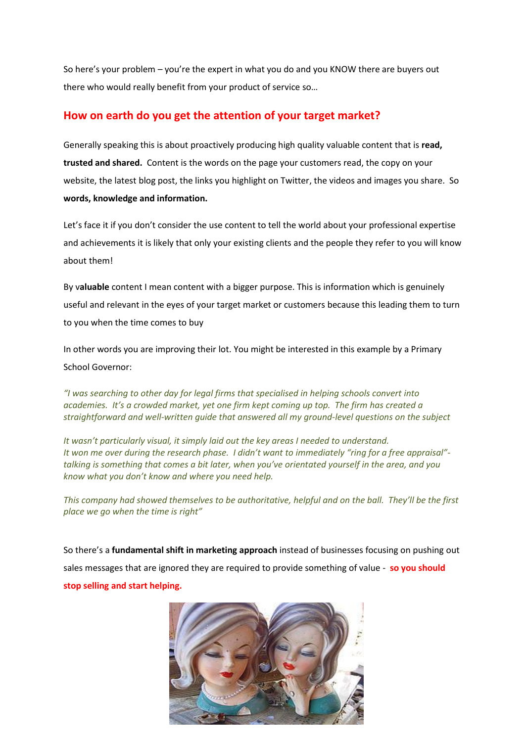So here's your problem – you're the expert in what you do and you KNOW there are buyers out there who would really benefit from your product of service so…

#### **How on earth do you get the attention of your target market?**

Generally speaking this is about proactively producing high quality valuable content that is **read, trusted and shared.** Content is the words on the page your customers read, the copy on your website, the latest blog post, the links you highlight on Twitter, the videos and images you share. So **words, knowledge and information.**

Let's face it if you don't consider the use content to tell the world about your professional expertise and achievements it is likely that only your existing clients and the people they refer to you will know about them!

By v**aluable** content I mean content with a bigger purpose. This is information which is genuinely useful and relevant in the eyes of your target market or customers because this leading them to turn to you when the time comes to buy

In other words you are improving their lot. You might be interested in this example by a Primary School Governor:

*"I was searching to other day for legal firms that specialised in helping schools convert into academies. It's a crowded market, yet one firm kept coming up top. The firm has created a straightforward and well-written guide that answered all my ground-level questions on the subject*

*It wasn't particularly visual, it simply laid out the key areas I needed to understand. It won me over during the research phase. I didn't want to immediately "ring for a free appraisal" talking is something that comes a bit later, when you've orientated yourself in the area, and you know what you don't know and where you need help.*

*This company had showed themselves to be authoritative, helpful and on the ball. They'll be the first place we go when the time is right"*

So there's a **fundamental shift in marketing approach** instead of businesses focusing on pushing out sales messages that are ignored they are required to provide something of value - **so you should stop selling and start helping.**

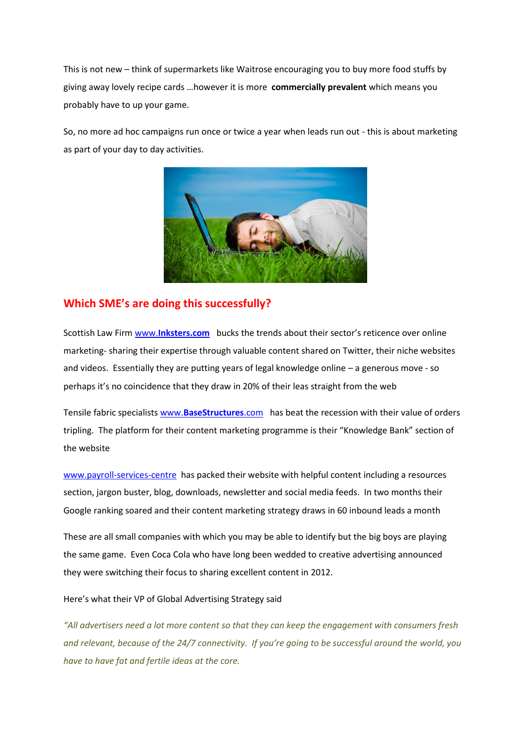This is not new – think of supermarkets like Waitrose encouraging you to buy more food stuffs by giving away lovely recipe cards …however it is more **commercially prevalent** which means you probably have to up your game.

So, no more ad hoc campaigns run once or twice a year when leads run out - this is about marketing as part of your day to day activities.



#### **Which SME's are doing this successfully?**

Scottish Law Firm www.**[Inksters.com](http://www.inksters.com/)** bucks the trends about their sector's reticence over online marketing- sharing their expertise through valuable content shared on Twitter, their niche websites and videos. Essentially they are putting years of legal knowledge online – a generous move - so perhaps it's no coincidence that they draw in 20% of their leas straight from the web

Tensile fabric specialists www.**[BaseStructures](http://www.basestructures.com/)**.com has beat the recession with their value of orders tripling. The platform for their content marketing programme is their "Knowledge Bank" section of the website

[www.payroll-services-centre](http://www.payroll-services-centre/) has packed their website with helpful content including a resources section, jargon buster, blog, downloads, newsletter and social media feeds. In two months their Google ranking soared and their content marketing strategy draws in 60 inbound leads a month

These are all small companies with which you may be able to identify but the big boys are playing the same game. Even Coca Cola who have long been wedded to creative advertising announced they were switching their focus to sharing excellent content in 2012.

Here's what their VP of Global Advertising Strategy said

*"All advertisers need a lot more content so that they can keep the engagement with consumers fresh and relevant, because of the 24/7 connectivity. If you're going to be successful around the world, you have to have fat and fertile ideas at the core.*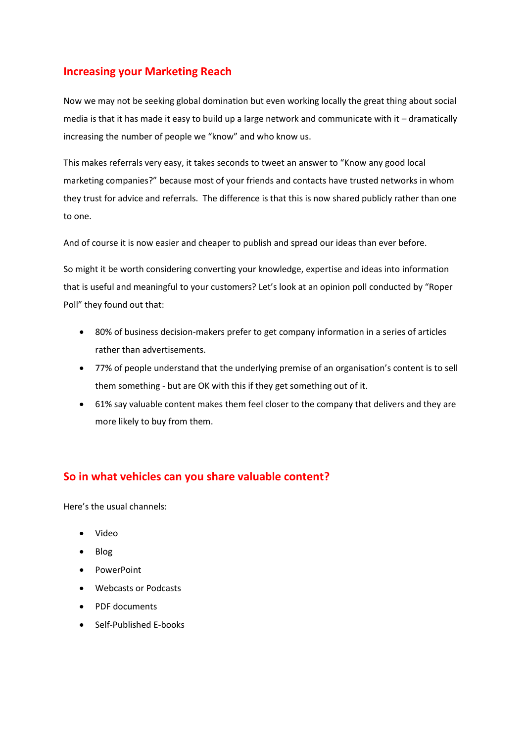## **Increasing your Marketing Reach**

Now we may not be seeking global domination but even working locally the great thing about social media is that it has made it easy to build up a large network and communicate with it – dramatically increasing the number of people we "know" and who know us.

This makes referrals very easy, it takes seconds to tweet an answer to "Know any good local marketing companies?" because most of your friends and contacts have trusted networks in whom they trust for advice and referrals. The difference is that this is now shared publicly rather than one to one.

And of course it is now easier and cheaper to publish and spread our ideas than ever before.

So might it be worth considering converting your knowledge, expertise and ideas into information that is useful and meaningful to your customers? Let's look at an opinion poll conducted by "Roper Poll" they found out that:

- 80% of business decision-makers prefer to get company information in a series of articles rather than advertisements.
- 77% of people understand that the underlying premise of an organisation's content is to sell them something - but are OK with this if they get something out of it.
- 61% say valuable content makes them feel closer to the company that delivers and they are more likely to buy from them.

#### **So in what vehicles can you share valuable content?**

Here's the usual channels:

- Video
- Blog
- PowerPoint
- Webcasts or Podcasts
- PDF documents
- Self-Published E-books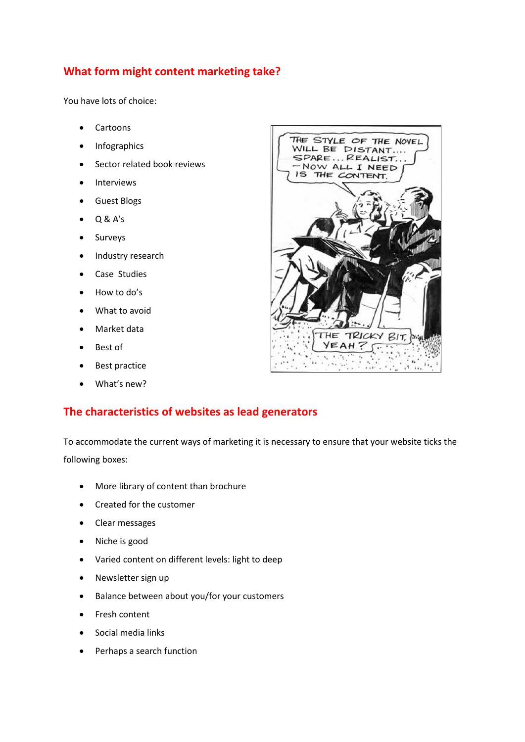## **What form might content marketing take?**

You have lots of choice:

- Cartoons
- Infographics
- **•** Sector related book reviews
- Interviews
- Guest Blogs
- Q & A's
- Surveys
- Industry research
- Case Studies
- How to do's
- What to avoid
- Market data
- Best of
- Best practice
- What's new?

## **The characteristics of websites as lead generators**

To accommodate the current ways of marketing it is necessary to ensure that your website ticks the following boxes:

- More library of content than brochure
- Created for the customer
- Clear messages
- Niche is good
- Varied content on different levels: light to deep
- Newsletter sign up
- Balance between about you/for your customers
- Fresh content
- Social media links
- Perhaps a search function